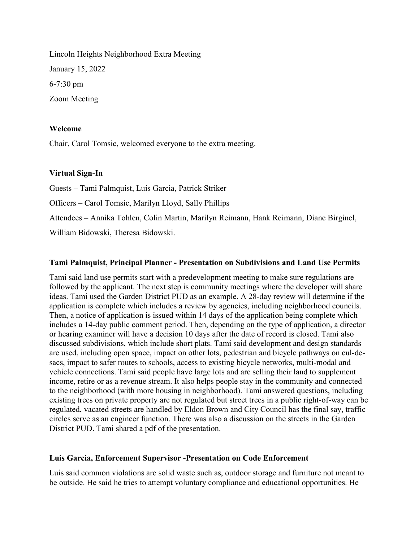Lincoln Heights Neighborhood Extra Meeting January 15, 2022 6-7:30 pm Zoom Meeting

### Welcome

Chair, Carol Tomsic, welcomed everyone to the extra meeting.

## Virtual Sign-In

Guests – Tami Palmquist, Luis Garcia, Patrick Striker Officers – Carol Tomsic, Marilyn Lloyd, Sally Phillips Attendees – Annika Tohlen, Colin Martin, Marilyn Reimann, Hank Reimann, Diane Birginel, William Bidowski, Theresa Bidowski.

## Tami Palmquist, Principal Planner - Presentation on Subdivisions and Land Use Permits

Tami said land use permits start with a predevelopment meeting to make sure regulations are followed by the applicant. The next step is community meetings where the developer will share ideas. Tami used the Garden District PUD as an example. A 28-day review will determine if the application is complete which includes a review by agencies, including neighborhood councils. Then, a notice of application is issued within 14 days of the application being complete which includes a 14-day public comment period. Then, depending on the type of application, a director or hearing examiner will have a decision 10 days after the date of record is closed. Tami also discussed subdivisions, which include short plats. Tami said development and design standards are used, including open space, impact on other lots, pedestrian and bicycle pathways on cul-desacs, impact to safer routes to schools, access to existing bicycle networks, multi-modal and vehicle connections. Tami said people have large lots and are selling their land to supplement income, retire or as a revenue stream. It also helps people stay in the community and connected to the neighborhood (with more housing in neighborhood). Tami answered questions, including existing trees on private property are not regulated but street trees in a public right-of-way can be regulated, vacated streets are handled by Eldon Brown and City Council has the final say, traffic circles serve as an engineer function. There was also a discussion on the streets in the Garden District PUD. Tami shared a pdf of the presentation.

#### Luis Garcia, Enforcement Supervisor -Presentation on Code Enforcement

Luis said common violations are solid waste such as, outdoor storage and furniture not meant to be outside. He said he tries to attempt voluntary compliance and educational opportunities. He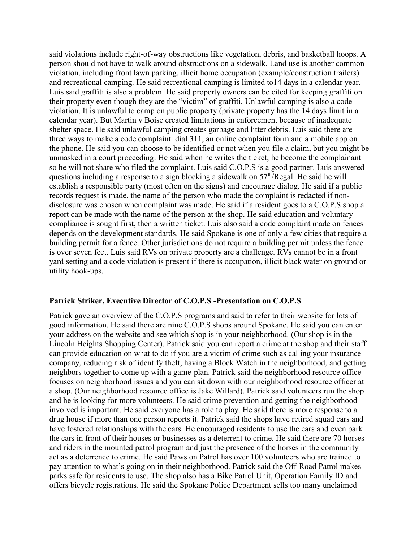said violations include right-of-way obstructions like vegetation, debris, and basketball hoops. A person should not have to walk around obstructions on a sidewalk. Land use is another common violation, including front lawn parking, illicit home occupation (example/construction trailers) and recreational camping. He said recreational camping is limited to14 days in a calendar year. Luis said graffiti is also a problem. He said property owners can be cited for keeping graffiti on their property even though they are the "victim" of graffiti. Unlawful camping is also a code violation. It is unlawful to camp on public property (private property has the 14 days limit in a calendar year). But Martin v Boise created limitations in enforcement because of inadequate shelter space. He said unlawful camping creates garbage and litter debris. Luis said there are three ways to make a code complaint: dial 311, an online complaint form and a mobile app on the phone. He said you can choose to be identified or not when you file a claim, but you might be unmasked in a court proceeding. He said when he writes the ticket, he become the complainant so he will not share who filed the complaint. Luis said C.O.P.S is a good partner. Luis answered questions including a response to a sign blocking a sidewalk on  $57<sup>th</sup>/Regal$ . He said he will establish a responsible party (most often on the signs) and encourage dialog. He said if a public records request is made, the name of the person who made the complaint is redacted if nondisclosure was chosen when complaint was made. He said if a resident goes to a C.O.P.S shop a report can be made with the name of the person at the shop. He said education and voluntary compliance is sought first, then a written ticket. Luis also said a code complaint made on fences depends on the development standards. He said Spokane is one of only a few cities that require a building permit for a fence. Other jurisdictions do not require a building permit unless the fence is over seven feet. Luis said RVs on private property are a challenge. RVs cannot be in a front yard setting and a code violation is present if there is occupation, illicit black water on ground or utility hook-ups.

#### Patrick Striker, Executive Director of C.O.P.S -Presentation on C.O.P.S

Patrick gave an overview of the C.O.P.S programs and said to refer to their website for lots of good information. He said there are nine C.O.P.S shops around Spokane. He said you can enter your address on the website and see which shop is in your neighborhood. (Our shop is in the Lincoln Heights Shopping Center). Patrick said you can report a crime at the shop and their staff can provide education on what to do if you are a victim of crime such as calling your insurance company, reducing risk of identify theft, having a Block Watch in the neighborhood, and getting neighbors together to come up with a game-plan. Patrick said the neighborhood resource office focuses on neighborhood issues and you can sit down with our neighborhood resource officer at a shop. (Our neighborhood resource office is Jake Willard). Patrick said volunteers run the shop and he is looking for more volunteers. He said crime prevention and getting the neighborhood involved is important. He said everyone has a role to play. He said there is more response to a drug house if more than one person reports it. Patrick said the shops have retired squad cars and have fostered relationships with the cars. He encouraged residents to use the cars and even park the cars in front of their houses or businesses as a deterrent to crime. He said there are 70 horses and riders in the mounted patrol program and just the presence of the horses in the community act as a deterrence to crime. He said Paws on Patrol has over 100 volunteers who are trained to pay attention to what's going on in their neighborhood. Patrick said the Off-Road Patrol makes parks safe for residents to use. The shop also has a Bike Patrol Unit, Operation Family ID and offers bicycle registrations. He said the Spokane Police Department sells too many unclaimed